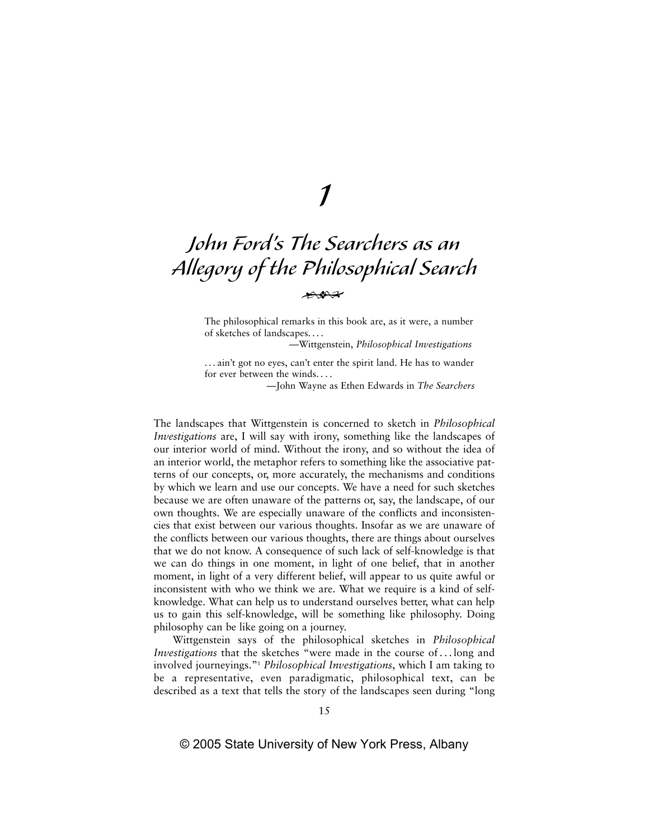## *1*

## *John Ford's The Searchers as an Allegory of the Philosophical Search* <del>⊯</del>

The philosophical remarks in this book are, as it were, a number of sketches of landscapes....

—Wittgenstein, *Philosophical Investigations*

. . . ain't got no eyes, can't enter the spirit land. He has to wander for ever between the winds. . . .

—John Wayne as Ethen Edwards in *The Searchers*

The landscapes that Wittgenstein is concerned to sketch in *Philosophical Investigations* are, I will say with irony, something like the landscapes of our interior world of mind. Without the irony, and so without the idea of an interior world, the metaphor refers to something like the associative patterns of our concepts, or, more accurately, the mechanisms and conditions by which we learn and use our concepts. We have a need for such sketches because we are often unaware of the patterns or, say, the landscape, of our own thoughts. We are especially unaware of the conflicts and inconsistencies that exist between our various thoughts. Insofar as we are unaware of the conflicts between our various thoughts, there are things about ourselves that we do not know. A consequence of such lack of self-knowledge is that we can do things in one moment, in light of one belief, that in another moment, in light of a very different belief, will appear to us quite awful or inconsistent with who we think we are. What we require is a kind of selfknowledge. What can help us to understand ourselves better, what can help us to gain this self-knowledge, will be something like philosophy. Doing philosophy can be like going on a journey.

Wittgenstein says of the philosophical sketches in *Philosophical Investigations* that the sketches "were made in the course of. . . long and involved journeyings."1 *Philosophical Investigations*, which I am taking to be a representative, even paradigmatic, philosophical text, can be described as a text that tells the story of the landscapes seen during "long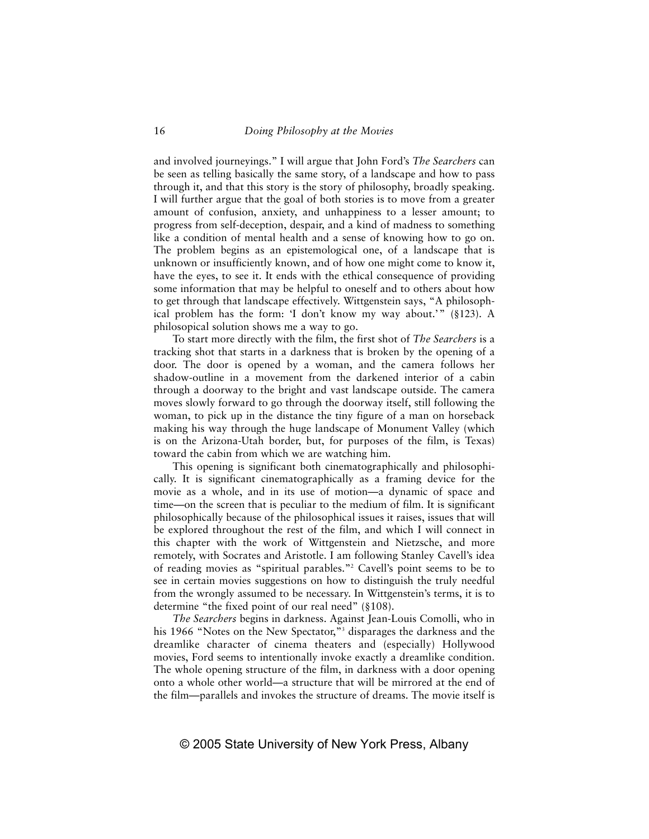and involved journeyings." I will argue that John Ford's *The Searchers* can be seen as telling basically the same story, of a landscape and how to pass through it, and that this story is the story of philosophy, broadly speaking. I will further argue that the goal of both stories is to move from a greater amount of confusion, anxiety, and unhappiness to a lesser amount; to progress from self-deception, despair, and a kind of madness to something like a condition of mental health and a sense of knowing how to go on. The problem begins as an epistemological one, of a landscape that is unknown or insufficiently known, and of how one might come to know it, have the eyes, to see it. It ends with the ethical consequence of providing some information that may be helpful to oneself and to others about how to get through that landscape effectively. Wittgenstein says, "A philosophical problem has the form: 'I don't know my way about.'" (§123). A philosopical solution shows me a way to go.

To start more directly with the film, the first shot of *The Searchers* is a tracking shot that starts in a darkness that is broken by the opening of a door. The door is opened by a woman, and the camera follows her shadow-outline in a movement from the darkened interior of a cabin through a doorway to the bright and vast landscape outside. The camera moves slowly forward to go through the doorway itself, still following the woman, to pick up in the distance the tiny figure of a man on horseback making his way through the huge landscape of Monument Valley (which is on the Arizona-Utah border, but, for purposes of the film, is Texas) toward the cabin from which we are watching him.

This opening is significant both cinematographically and philosophically. It is significant cinematographically as a framing device for the movie as a whole, and in its use of motion—a dynamic of space and time—on the screen that is peculiar to the medium of film. It is significant philosophically because of the philosophical issues it raises, issues that will be explored throughout the rest of the film, and which I will connect in this chapter with the work of Wittgenstein and Nietzsche, and more remotely, with Socrates and Aristotle. I am following Stanley Cavell's idea of reading movies as "spiritual parables."2 Cavell's point seems to be to see in certain movies suggestions on how to distinguish the truly needful from the wrongly assumed to be necessary. In Wittgenstein's terms, it is to determine "the fixed point of our real need" (§108).

*The Searchers* begins in darkness. Against Jean-Louis Comolli, who in his 1966 "Notes on the New Spectator,"<sup>3</sup> disparages the darkness and the dreamlike character of cinema theaters and (especially) Hollywood movies, Ford seems to intentionally invoke exactly a dreamlike condition. The whole opening structure of the film, in darkness with a door opening onto a whole other world—a structure that will be mirrored at the end of the film—parallels and invokes the structure of dreams. The movie itself is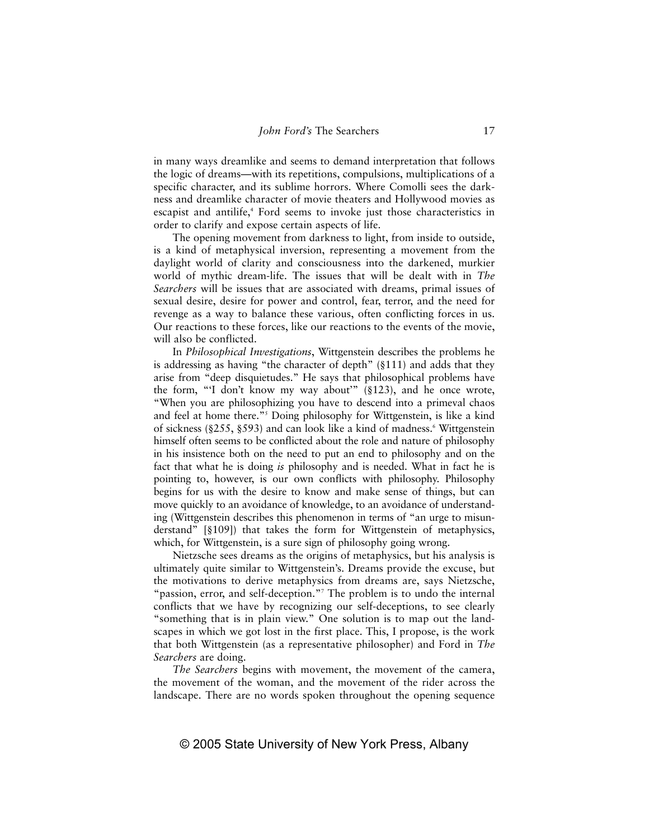in many ways dreamlike and seems to demand interpretation that follows the logic of dreams—with its repetitions, compulsions, multiplications of a specific character, and its sublime horrors. Where Comolli sees the darkness and dreamlike character of movie theaters and Hollywood movies as escapist and antilife,<sup>4</sup> Ford seems to invoke just those characteristics in order to clarify and expose certain aspects of life.

The opening movement from darkness to light, from inside to outside, is a kind of metaphysical inversion, representing a movement from the daylight world of clarity and consciousness into the darkened, murkier world of mythic dream-life. The issues that will be dealt with in *The Searchers* will be issues that are associated with dreams, primal issues of sexual desire, desire for power and control, fear, terror, and the need for revenge as a way to balance these various, often conflicting forces in us. Our reactions to these forces, like our reactions to the events of the movie, will also be conflicted.

In *Philosophical Investigations*, Wittgenstein describes the problems he is addressing as having "the character of depth" (§111) and adds that they arise from "deep disquietudes." He says that philosophical problems have the form, "'I don't know my way about'" (§123), and he once wrote, "When you are philosophizing you have to descend into a primeval chaos and feel at home there."5 Doing philosophy for Wittgenstein, is like a kind of sickness (§255, §593) and can look like a kind of madness.<sup>6</sup> Wittgenstein himself often seems to be conflicted about the role and nature of philosophy in his insistence both on the need to put an end to philosophy and on the fact that what he is doing *is* philosophy and is needed. What in fact he is pointing to, however, is our own conflicts with philosophy. Philosophy begins for us with the desire to know and make sense of things, but can move quickly to an avoidance of knowledge, to an avoidance of understanding (Wittgenstein describes this phenomenon in terms of "an urge to misunderstand" [§109]) that takes the form for Wittgenstein of metaphysics, which, for Wittgenstein, is a sure sign of philosophy going wrong.

Nietzsche sees dreams as the origins of metaphysics, but his analysis is ultimately quite similar to Wittgenstein's. Dreams provide the excuse, but the motivations to derive metaphysics from dreams are, says Nietzsche, "passion, error, and self-deception."7 The problem is to undo the internal conflicts that we have by recognizing our self-deceptions, to see clearly "something that is in plain view." One solution is to map out the landscapes in which we got lost in the first place. This, I propose, is the work that both Wittgenstein (as a representative philosopher) and Ford in *The Searchers* are doing.

*The Searchers* begins with movement, the movement of the camera, the movement of the woman, and the movement of the rider across the landscape. There are no words spoken throughout the opening sequence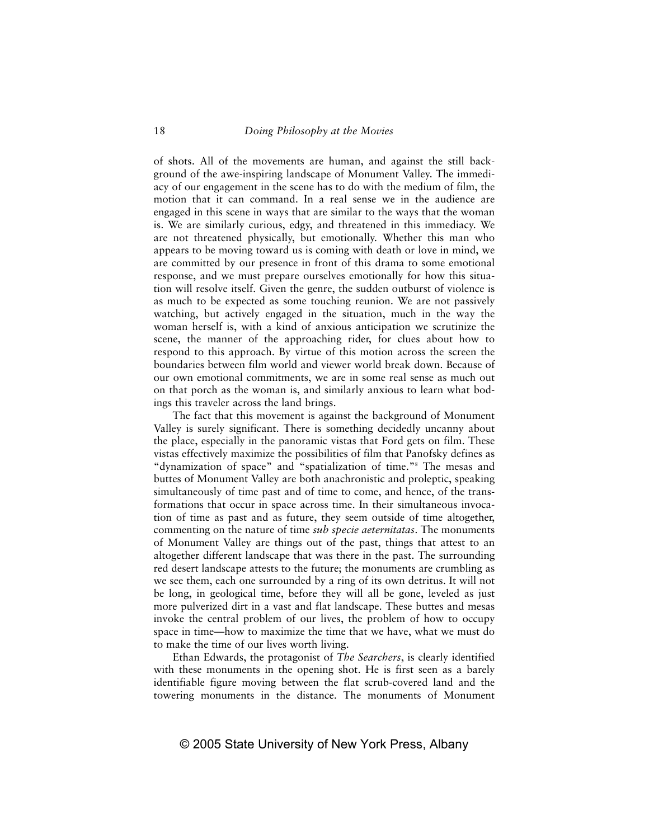of shots. All of the movements are human, and against the still background of the awe-inspiring landscape of Monument Valley. The immediacy of our engagement in the scene has to do with the medium of film, the motion that it can command. In a real sense we in the audience are engaged in this scene in ways that are similar to the ways that the woman is. We are similarly curious, edgy, and threatened in this immediacy. We are not threatened physically, but emotionally. Whether this man who appears to be moving toward us is coming with death or love in mind, we are committed by our presence in front of this drama to some emotional response, and we must prepare ourselves emotionally for how this situation will resolve itself. Given the genre, the sudden outburst of violence is as much to be expected as some touching reunion. We are not passively watching, but actively engaged in the situation, much in the way the woman herself is, with a kind of anxious anticipation we scrutinize the scene, the manner of the approaching rider, for clues about how to respond to this approach. By virtue of this motion across the screen the boundaries between film world and viewer world break down. Because of our own emotional commitments, we are in some real sense as much out on that porch as the woman is, and similarly anxious to learn what bodings this traveler across the land brings.

The fact that this movement is against the background of Monument Valley is surely significant. There is something decidedly uncanny about the place, especially in the panoramic vistas that Ford gets on film. These vistas effectively maximize the possibilities of film that Panofsky defines as "dynamization of space" and "spatialization of time."8 The mesas and buttes of Monument Valley are both anachronistic and proleptic, speaking simultaneously of time past and of time to come, and hence, of the transformations that occur in space across time. In their simultaneous invocation of time as past and as future, they seem outside of time altogether, commenting on the nature of time *sub specie aeternitatas*. The monuments of Monument Valley are things out of the past, things that attest to an altogether different landscape that was there in the past. The surrounding red desert landscape attests to the future; the monuments are crumbling as we see them, each one surrounded by a ring of its own detritus. It will not be long, in geological time, before they will all be gone, leveled as just more pulverized dirt in a vast and flat landscape. These buttes and mesas invoke the central problem of our lives, the problem of how to occupy space in time—how to maximize the time that we have, what we must do to make the time of our lives worth living.

Ethan Edwards, the protagonist of *The Searchers*, is clearly identified with these monuments in the opening shot. He is first seen as a barely identifiable figure moving between the flat scrub-covered land and the towering monuments in the distance. The monuments of Monument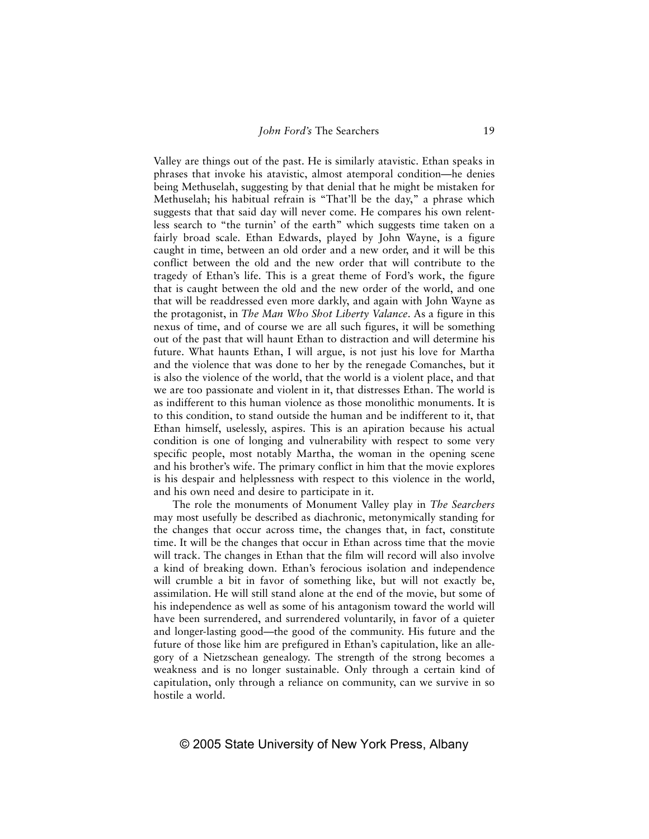Valley are things out of the past. He is similarly atavistic. Ethan speaks in phrases that invoke his atavistic, almost atemporal condition—he denies being Methuselah, suggesting by that denial that he might be mistaken for Methuselah; his habitual refrain is "That'll be the day," a phrase which suggests that that said day will never come. He compares his own relentless search to "the turnin' of the earth" which suggests time taken on a fairly broad scale. Ethan Edwards, played by John Wayne, is a figure caught in time, between an old order and a new order, and it will be this conflict between the old and the new order that will contribute to the tragedy of Ethan's life. This is a great theme of Ford's work, the figure that is caught between the old and the new order of the world, and one that will be readdressed even more darkly, and again with John Wayne as the protagonist, in *The Man Who Shot Liberty Valance*. As a figure in this nexus of time, and of course we are all such figures, it will be something out of the past that will haunt Ethan to distraction and will determine his future. What haunts Ethan, I will argue, is not just his love for Martha and the violence that was done to her by the renegade Comanches, but it is also the violence of the world, that the world is a violent place, and that we are too passionate and violent in it, that distresses Ethan. The world is as indifferent to this human violence as those monolithic monuments. It is to this condition, to stand outside the human and be indifferent to it, that Ethan himself, uselessly, aspires. This is an apiration because his actual condition is one of longing and vulnerability with respect to some very specific people, most notably Martha, the woman in the opening scene and his brother's wife. The primary conflict in him that the movie explores is his despair and helplessness with respect to this violence in the world, and his own need and desire to participate in it.

The role the monuments of Monument Valley play in *The Searchers* may most usefully be described as diachronic, metonymically standing for the changes that occur across time, the changes that, in fact, constitute time. It will be the changes that occur in Ethan across time that the movie will track. The changes in Ethan that the film will record will also involve a kind of breaking down. Ethan's ferocious isolation and independence will crumble a bit in favor of something like, but will not exactly be, assimilation. He will still stand alone at the end of the movie, but some of his independence as well as some of his antagonism toward the world will have been surrendered, and surrendered voluntarily, in favor of a quieter and longer-lasting good—the good of the community. His future and the future of those like him are prefigured in Ethan's capitulation, like an allegory of a Nietzschean genealogy. The strength of the strong becomes a weakness and is no longer sustainable. Only through a certain kind of capitulation, only through a reliance on community, can we survive in so hostile a world.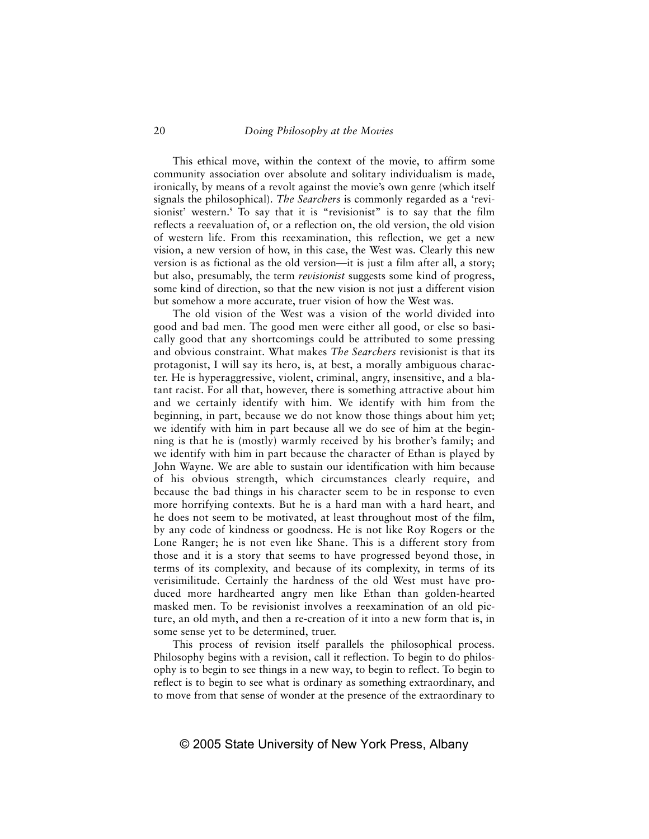This ethical move, within the context of the movie, to affirm some community association over absolute and solitary individualism is made, ironically, by means of a revolt against the movie's own genre (which itself signals the philosophical). *The Searchers* is commonly regarded as a 'revisionist' western.<sup>9</sup> To say that it is "revisionist" is to say that the film reflects a reevaluation of, or a reflection on, the old version, the old vision of western life. From this reexamination, this reflection, we get a new vision, a new version of how, in this case, the West was. Clearly this new version is as fictional as the old version—it is just a film after all, a story; but also, presumably, the term *revisionist* suggests some kind of progress, some kind of direction, so that the new vision is not just a different vision but somehow a more accurate, truer vision of how the West was.

The old vision of the West was a vision of the world divided into good and bad men. The good men were either all good, or else so basically good that any shortcomings could be attributed to some pressing and obvious constraint. What makes *The Searchers* revisionist is that its protagonist, I will say its hero, is, at best, a morally ambiguous character. He is hyperaggressive, violent, criminal, angry, insensitive, and a blatant racist. For all that, however, there is something attractive about him and we certainly identify with him. We identify with him from the beginning, in part, because we do not know those things about him yet; we identify with him in part because all we do see of him at the beginning is that he is (mostly) warmly received by his brother's family; and we identify with him in part because the character of Ethan is played by John Wayne. We are able to sustain our identification with him because of his obvious strength, which circumstances clearly require, and because the bad things in his character seem to be in response to even more horrifying contexts. But he is a hard man with a hard heart, and he does not seem to be motivated, at least throughout most of the film, by any code of kindness or goodness. He is not like Roy Rogers or the Lone Ranger; he is not even like Shane. This is a different story from those and it is a story that seems to have progressed beyond those, in terms of its complexity, and because of its complexity, in terms of its verisimilitude. Certainly the hardness of the old West must have produced more hardhearted angry men like Ethan than golden-hearted masked men. To be revisionist involves a reexamination of an old picture, an old myth, and then a re-creation of it into a new form that is, in some sense yet to be determined, truer.

This process of revision itself parallels the philosophical process. Philosophy begins with a revision, call it reflection. To begin to do philosophy is to begin to see things in a new way, to begin to reflect. To begin to reflect is to begin to see what is ordinary as something extraordinary, and to move from that sense of wonder at the presence of the extraordinary to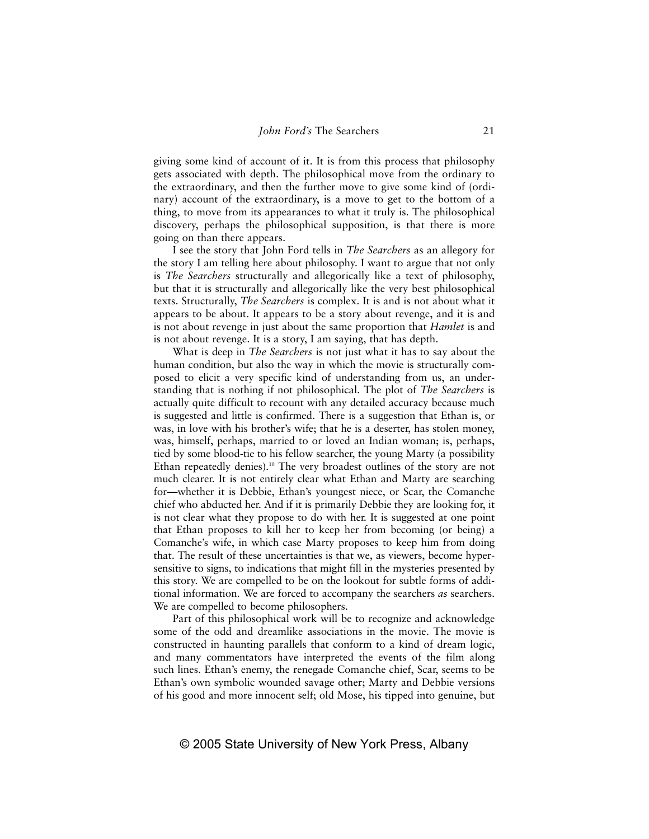giving some kind of account of it. It is from this process that philosophy gets associated with depth. The philosophical move from the ordinary to the extraordinary, and then the further move to give some kind of (ordinary) account of the extraordinary, is a move to get to the bottom of a thing, to move from its appearances to what it truly is. The philosophical discovery, perhaps the philosophical supposition, is that there is more going on than there appears.

I see the story that John Ford tells in *The Searchers* as an allegory for the story I am telling here about philosophy. I want to argue that not only is *The Searchers* structurally and allegorically like a text of philosophy, but that it is structurally and allegorically like the very best philosophical texts. Structurally, *The Searchers* is complex. It is and is not about what it appears to be about. It appears to be a story about revenge, and it is and is not about revenge in just about the same proportion that *Hamlet* is and is not about revenge. It is a story, I am saying, that has depth.

What is deep in *The Searchers* is not just what it has to say about the human condition, but also the way in which the movie is structurally composed to elicit a very specific kind of understanding from us, an understanding that is nothing if not philosophical. The plot of *The Searchers* is actually quite difficult to recount with any detailed accuracy because much is suggested and little is confirmed. There is a suggestion that Ethan is, or was, in love with his brother's wife; that he is a deserter, has stolen money, was, himself, perhaps, married to or loved an Indian woman; is, perhaps, tied by some blood-tie to his fellow searcher, the young Marty (a possibility Ethan repeatedly denies).<sup>10</sup> The very broadest outlines of the story are not much clearer. It is not entirely clear what Ethan and Marty are searching for—whether it is Debbie, Ethan's youngest niece, or Scar, the Comanche chief who abducted her. And if it is primarily Debbie they are looking for, it is not clear what they propose to do with her. It is suggested at one point that Ethan proposes to kill her to keep her from becoming (or being) a Comanche's wife, in which case Marty proposes to keep him from doing that. The result of these uncertainties is that we, as viewers, become hypersensitive to signs, to indications that might fill in the mysteries presented by this story. We are compelled to be on the lookout for subtle forms of additional information. We are forced to accompany the searchers *as* searchers. We are compelled to become philosophers.

Part of this philosophical work will be to recognize and acknowledge some of the odd and dreamlike associations in the movie. The movie is constructed in haunting parallels that conform to a kind of dream logic, and many commentators have interpreted the events of the film along such lines. Ethan's enemy, the renegade Comanche chief, Scar, seems to be Ethan's own symbolic wounded savage other; Marty and Debbie versions of his good and more innocent self; old Mose, his tipped into genuine, but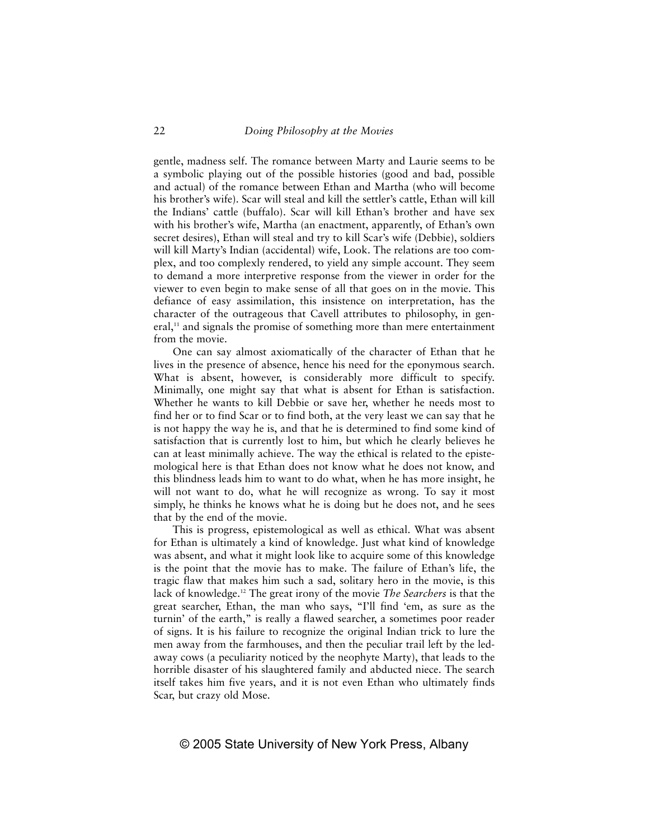gentle, madness self. The romance between Marty and Laurie seems to be a symbolic playing out of the possible histories (good and bad, possible and actual) of the romance between Ethan and Martha (who will become his brother's wife). Scar will steal and kill the settler's cattle, Ethan will kill the Indians' cattle (buffalo). Scar will kill Ethan's brother and have sex with his brother's wife, Martha (an enactment, apparently, of Ethan's own secret desires), Ethan will steal and try to kill Scar's wife (Debbie), soldiers will kill Marty's Indian (accidental) wife, Look. The relations are too complex, and too complexly rendered, to yield any simple account. They seem to demand a more interpretive response from the viewer in order for the viewer to even begin to make sense of all that goes on in the movie. This defiance of easy assimilation, this insistence on interpretation, has the character of the outrageous that Cavell attributes to philosophy, in gen $eral<sub>1</sub><sup>11</sup>$  and signals the promise of something more than mere entertainment from the movie.

One can say almost axiomatically of the character of Ethan that he lives in the presence of absence, hence his need for the eponymous search. What is absent, however, is considerably more difficult to specify. Minimally, one might say that what is absent for Ethan is satisfaction. Whether he wants to kill Debbie or save her, whether he needs most to find her or to find Scar or to find both, at the very least we can say that he is not happy the way he is, and that he is determined to find some kind of satisfaction that is currently lost to him, but which he clearly believes he can at least minimally achieve. The way the ethical is related to the epistemological here is that Ethan does not know what he does not know, and this blindness leads him to want to do what, when he has more insight, he will not want to do, what he will recognize as wrong. To say it most simply, he thinks he knows what he is doing but he does not, and he sees that by the end of the movie.

This is progress, epistemological as well as ethical. What was absent for Ethan is ultimately a kind of knowledge. Just what kind of knowledge was absent, and what it might look like to acquire some of this knowledge is the point that the movie has to make. The failure of Ethan's life, the tragic flaw that makes him such a sad, solitary hero in the movie, is this lack of knowledge.12 The great irony of the movie *The Searchers* is that the great searcher, Ethan, the man who says, "I'll find 'em, as sure as the turnin' of the earth," is really a flawed searcher, a sometimes poor reader of signs. It is his failure to recognize the original Indian trick to lure the men away from the farmhouses, and then the peculiar trail left by the ledaway cows (a peculiarity noticed by the neophyte Marty), that leads to the horrible disaster of his slaughtered family and abducted niece. The search itself takes him five years, and it is not even Ethan who ultimately finds Scar, but crazy old Mose.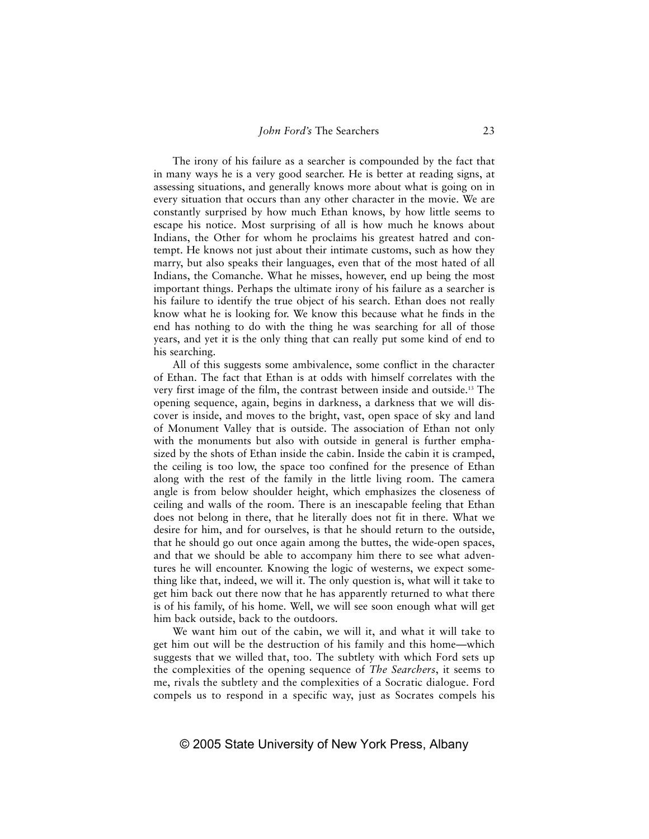The irony of his failure as a searcher is compounded by the fact that in many ways he is a very good searcher. He is better at reading signs, at assessing situations, and generally knows more about what is going on in every situation that occurs than any other character in the movie. We are constantly surprised by how much Ethan knows, by how little seems to escape his notice. Most surprising of all is how much he knows about Indians, the Other for whom he proclaims his greatest hatred and contempt. He knows not just about their intimate customs, such as how they marry, but also speaks their languages, even that of the most hated of all Indians, the Comanche. What he misses, however, end up being the most important things. Perhaps the ultimate irony of his failure as a searcher is his failure to identify the true object of his search. Ethan does not really know what he is looking for. We know this because what he finds in the end has nothing to do with the thing he was searching for all of those years, and yet it is the only thing that can really put some kind of end to his searching.

All of this suggests some ambivalence, some conflict in the character of Ethan. The fact that Ethan is at odds with himself correlates with the very first image of the film, the contrast between inside and outside.13 The opening sequence, again, begins in darkness, a darkness that we will discover is inside, and moves to the bright, vast, open space of sky and land of Monument Valley that is outside. The association of Ethan not only with the monuments but also with outside in general is further emphasized by the shots of Ethan inside the cabin. Inside the cabin it is cramped, the ceiling is too low, the space too confined for the presence of Ethan along with the rest of the family in the little living room. The camera angle is from below shoulder height, which emphasizes the closeness of ceiling and walls of the room. There is an inescapable feeling that Ethan does not belong in there, that he literally does not fit in there. What we desire for him, and for ourselves, is that he should return to the outside, that he should go out once again among the buttes, the wide-open spaces, and that we should be able to accompany him there to see what adventures he will encounter. Knowing the logic of westerns, we expect something like that, indeed, we will it. The only question is, what will it take to get him back out there now that he has apparently returned to what there is of his family, of his home. Well, we will see soon enough what will get him back outside, back to the outdoors.

We want him out of the cabin, we will it, and what it will take to get him out will be the destruction of his family and this home—which suggests that we willed that, too. The subtlety with which Ford sets up the complexities of the opening sequence of *The Searchers*, it seems to me, rivals the subtlety and the complexities of a Socratic dialogue. Ford compels us to respond in a specific way, just as Socrates compels his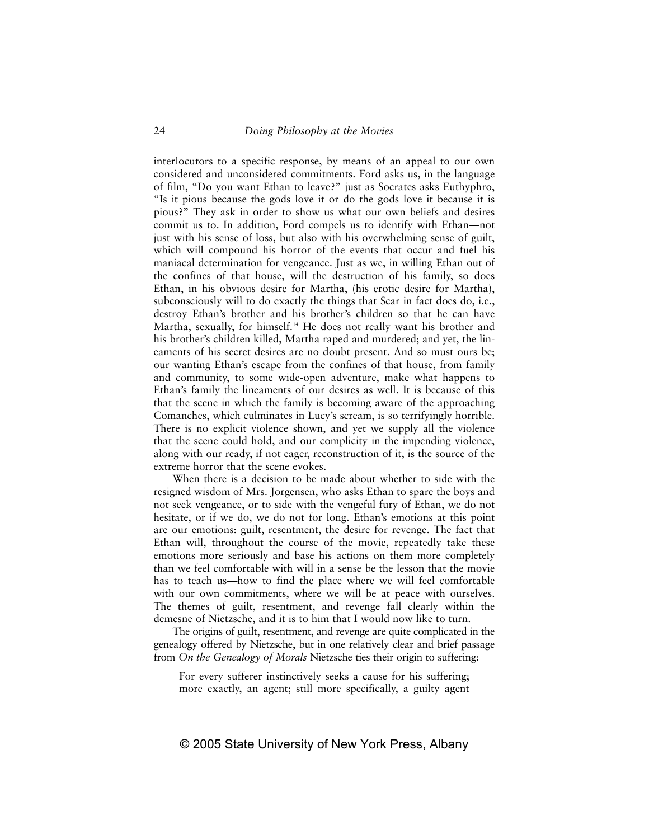interlocutors to a specific response, by means of an appeal to our own considered and unconsidered commitments. Ford asks us, in the language of film, "Do you want Ethan to leave?" just as Socrates asks Euthyphro, "Is it pious because the gods love it or do the gods love it because it is pious?" They ask in order to show us what our own beliefs and desires commit us to. In addition, Ford compels us to identify with Ethan—not just with his sense of loss, but also with his overwhelming sense of guilt, which will compound his horror of the events that occur and fuel his maniacal determination for vengeance. Just as we, in willing Ethan out of the confines of that house, will the destruction of his family, so does Ethan, in his obvious desire for Martha, (his erotic desire for Martha), subconsciously will to do exactly the things that Scar in fact does do, i.e., destroy Ethan's brother and his brother's children so that he can have Martha, sexually, for himself.<sup>14</sup> He does not really want his brother and his brother's children killed, Martha raped and murdered; and yet, the lineaments of his secret desires are no doubt present. And so must ours be; our wanting Ethan's escape from the confines of that house, from family and community, to some wide-open adventure, make what happens to Ethan's family the lineaments of our desires as well. It is because of this that the scene in which the family is becoming aware of the approaching Comanches, which culminates in Lucy's scream, is so terrifyingly horrible. There is no explicit violence shown, and yet we supply all the violence that the scene could hold, and our complicity in the impending violence, along with our ready, if not eager, reconstruction of it, is the source of the extreme horror that the scene evokes.

When there is a decision to be made about whether to side with the resigned wisdom of Mrs. Jorgensen, who asks Ethan to spare the boys and not seek vengeance, or to side with the vengeful fury of Ethan, we do not hesitate, or if we do, we do not for long. Ethan's emotions at this point are our emotions: guilt, resentment, the desire for revenge. The fact that Ethan will, throughout the course of the movie, repeatedly take these emotions more seriously and base his actions on them more completely than we feel comfortable with will in a sense be the lesson that the movie has to teach us—how to find the place where we will feel comfortable with our own commitments, where we will be at peace with ourselves. The themes of guilt, resentment, and revenge fall clearly within the demesne of Nietzsche, and it is to him that I would now like to turn.

The origins of guilt, resentment, and revenge are quite complicated in the genealogy offered by Nietzsche, but in one relatively clear and brief passage from *On the Genealogy of Morals* Nietzsche ties their origin to suffering:

For every sufferer instinctively seeks a cause for his suffering; more exactly, an agent; still more specifically, a guilty agent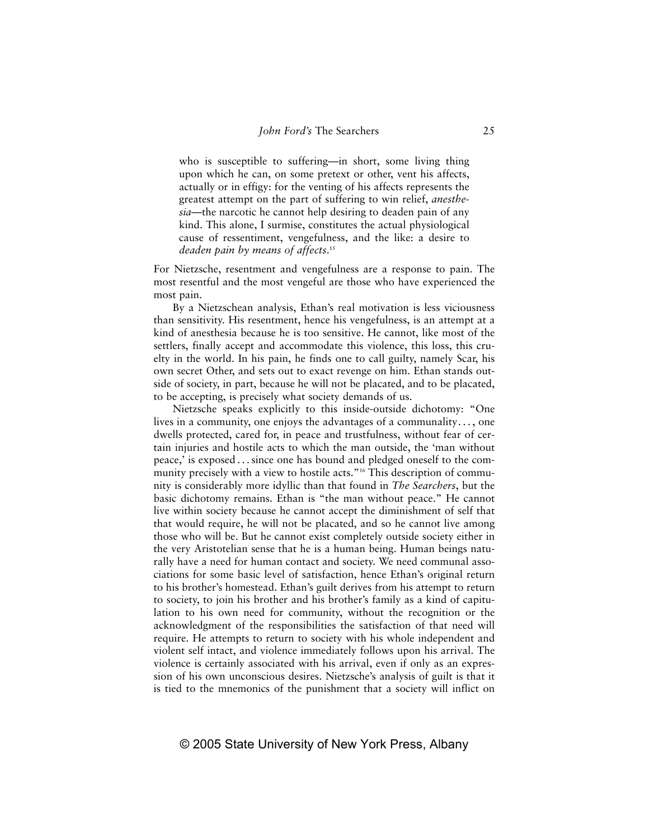who is susceptible to suffering—in short, some living thing upon which he can, on some pretext or other, vent his affects, actually or in effigy: for the venting of his affects represents the greatest attempt on the part of suffering to win relief, *anesthesia*—the narcotic he cannot help desiring to deaden pain of any kind. This alone, I surmise, constitutes the actual physiological cause of ressentiment, vengefulness, and the like: a desire to *deaden pain by means of affects*. 15

For Nietzsche, resentment and vengefulness are a response to pain. The most resentful and the most vengeful are those who have experienced the most pain.

By a Nietzschean analysis, Ethan's real motivation is less viciousness than sensitivity. His resentment, hence his vengefulness, is an attempt at a kind of anesthesia because he is too sensitive. He cannot, like most of the settlers, finally accept and accommodate this violence, this loss, this cruelty in the world. In his pain, he finds one to call guilty, namely Scar, his own secret Other, and sets out to exact revenge on him. Ethan stands outside of society, in part, because he will not be placated, and to be placated, to be accepting, is precisely what society demands of us.

Nietzsche speaks explicitly to this inside-outside dichotomy: "One lives in a community, one enjoys the advantages of a communality. . . , one dwells protected, cared for, in peace and trustfulness, without fear of certain injuries and hostile acts to which the man outside, the 'man without peace,' is exposed...since one has bound and pledged oneself to the community precisely with a view to hostile acts."<sup>16</sup> This description of community is considerably more idyllic than that found in *The Searchers*, but the basic dichotomy remains. Ethan is "the man without peace." He cannot live within society because he cannot accept the diminishment of self that that would require, he will not be placated, and so he cannot live among those who will be. But he cannot exist completely outside society either in the very Aristotelian sense that he is a human being. Human beings naturally have a need for human contact and society. We need communal associations for some basic level of satisfaction, hence Ethan's original return to his brother's homestead. Ethan's guilt derives from his attempt to return to society, to join his brother and his brother's family as a kind of capitulation to his own need for community, without the recognition or the acknowledgment of the responsibilities the satisfaction of that need will require. He attempts to return to society with his whole independent and violent self intact, and violence immediately follows upon his arrival. The violence is certainly associated with his arrival, even if only as an expression of his own unconscious desires. Nietzsche's analysis of guilt is that it is tied to the mnemonics of the punishment that a society will inflict on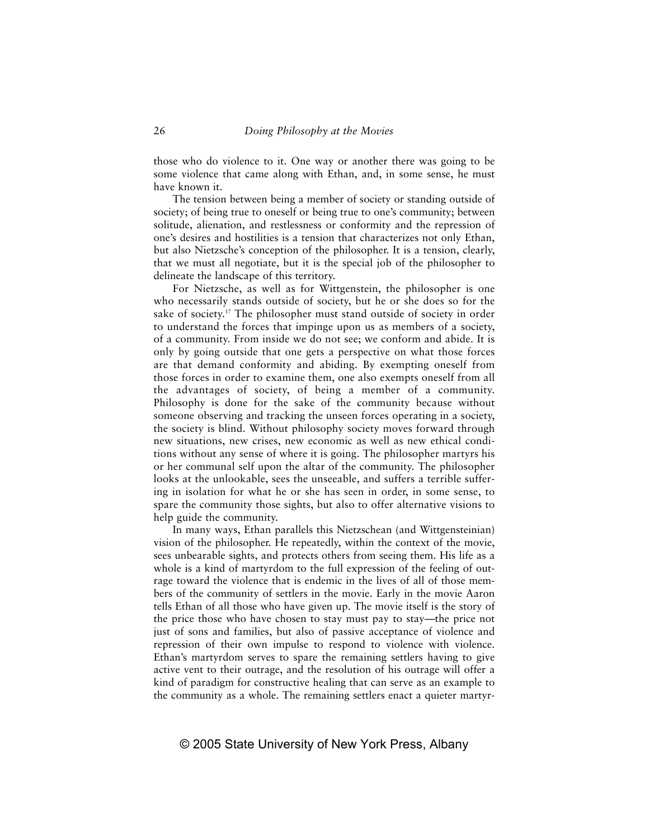those who do violence to it. One way or another there was going to be some violence that came along with Ethan, and, in some sense, he must have known it.

The tension between being a member of society or standing outside of society; of being true to oneself or being true to one's community; between solitude, alienation, and restlessness or conformity and the repression of one's desires and hostilities is a tension that characterizes not only Ethan, but also Nietzsche's conception of the philosopher. It is a tension, clearly, that we must all negotiate, but it is the special job of the philosopher to delineate the landscape of this territory.

For Nietzsche, as well as for Wittgenstein, the philosopher is one who necessarily stands outside of society, but he or she does so for the sake of society.<sup>17</sup> The philosopher must stand outside of society in order to understand the forces that impinge upon us as members of a society, of a community. From inside we do not see; we conform and abide. It is only by going outside that one gets a perspective on what those forces are that demand conformity and abiding. By exempting oneself from those forces in order to examine them, one also exempts oneself from all the advantages of society, of being a member of a community. Philosophy is done for the sake of the community because without someone observing and tracking the unseen forces operating in a society, the society is blind. Without philosophy society moves forward through new situations, new crises, new economic as well as new ethical conditions without any sense of where it is going. The philosopher martyrs his or her communal self upon the altar of the community. The philosopher looks at the unlookable, sees the unseeable, and suffers a terrible suffering in isolation for what he or she has seen in order, in some sense, to spare the community those sights, but also to offer alternative visions to help guide the community.

In many ways, Ethan parallels this Nietzschean (and Wittgensteinian) vision of the philosopher. He repeatedly, within the context of the movie, sees unbearable sights, and protects others from seeing them. His life as a whole is a kind of martyrdom to the full expression of the feeling of outrage toward the violence that is endemic in the lives of all of those members of the community of settlers in the movie. Early in the movie Aaron tells Ethan of all those who have given up. The movie itself is the story of the price those who have chosen to stay must pay to stay—the price not just of sons and families, but also of passive acceptance of violence and repression of their own impulse to respond to violence with violence. Ethan's martyrdom serves to spare the remaining settlers having to give active vent to their outrage, and the resolution of his outrage will offer a kind of paradigm for constructive healing that can serve as an example to the community as a whole. The remaining settlers enact a quieter martyr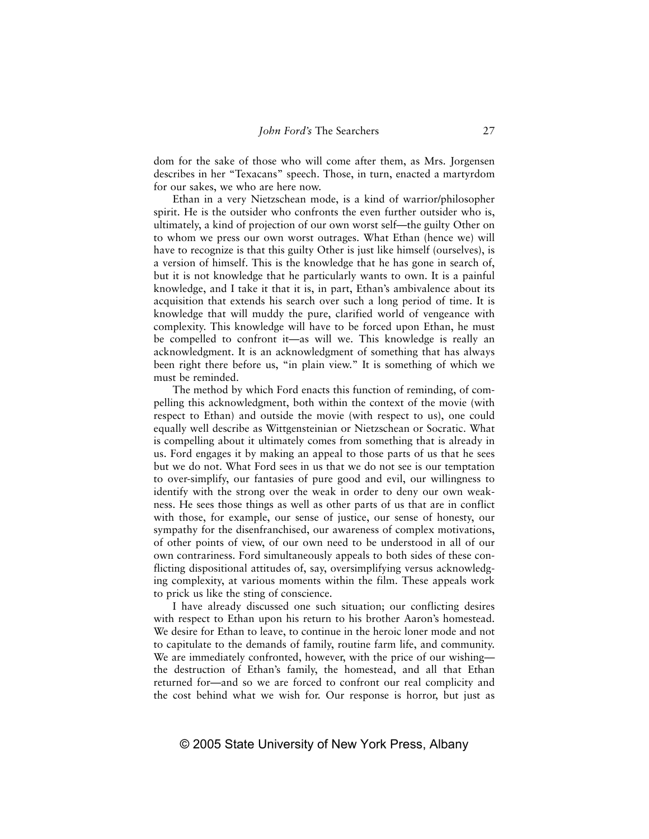dom for the sake of those who will come after them, as Mrs. Jorgensen describes in her "Texacans" speech. Those, in turn, enacted a martyrdom for our sakes, we who are here now.

Ethan in a very Nietzschean mode, is a kind of warrior/philosopher spirit. He is the outsider who confronts the even further outsider who is, ultimately, a kind of projection of our own worst self—the guilty Other on to whom we press our own worst outrages. What Ethan (hence we) will have to recognize is that this guilty Other is just like himself (ourselves), is a version of himself. This is the knowledge that he has gone in search of, but it is not knowledge that he particularly wants to own. It is a painful knowledge, and I take it that it is, in part, Ethan's ambivalence about its acquisition that extends his search over such a long period of time. It is knowledge that will muddy the pure, clarified world of vengeance with complexity. This knowledge will have to be forced upon Ethan, he must be compelled to confront it—as will we. This knowledge is really an acknowledgment. It is an acknowledgment of something that has always been right there before us, "in plain view." It is something of which we must be reminded.

The method by which Ford enacts this function of reminding, of compelling this acknowledgment, both within the context of the movie (with respect to Ethan) and outside the movie (with respect to us), one could equally well describe as Wittgensteinian or Nietzschean or Socratic. What is compelling about it ultimately comes from something that is already in us. Ford engages it by making an appeal to those parts of us that he sees but we do not. What Ford sees in us that we do not see is our temptation to over-simplify, our fantasies of pure good and evil, our willingness to identify with the strong over the weak in order to deny our own weakness. He sees those things as well as other parts of us that are in conflict with those, for example, our sense of justice, our sense of honesty, our sympathy for the disenfranchised, our awareness of complex motivations, of other points of view, of our own need to be understood in all of our own contrariness. Ford simultaneously appeals to both sides of these conflicting dispositional attitudes of, say, oversimplifying versus acknowledging complexity, at various moments within the film. These appeals work to prick us like the sting of conscience.

I have already discussed one such situation; our conflicting desires with respect to Ethan upon his return to his brother Aaron's homestead. We desire for Ethan to leave, to continue in the heroic loner mode and not to capitulate to the demands of family, routine farm life, and community. We are immediately confronted, however, with the price of our wishing the destruction of Ethan's family, the homestead, and all that Ethan returned for—and so we are forced to confront our real complicity and the cost behind what we wish for. Our response is horror, but just as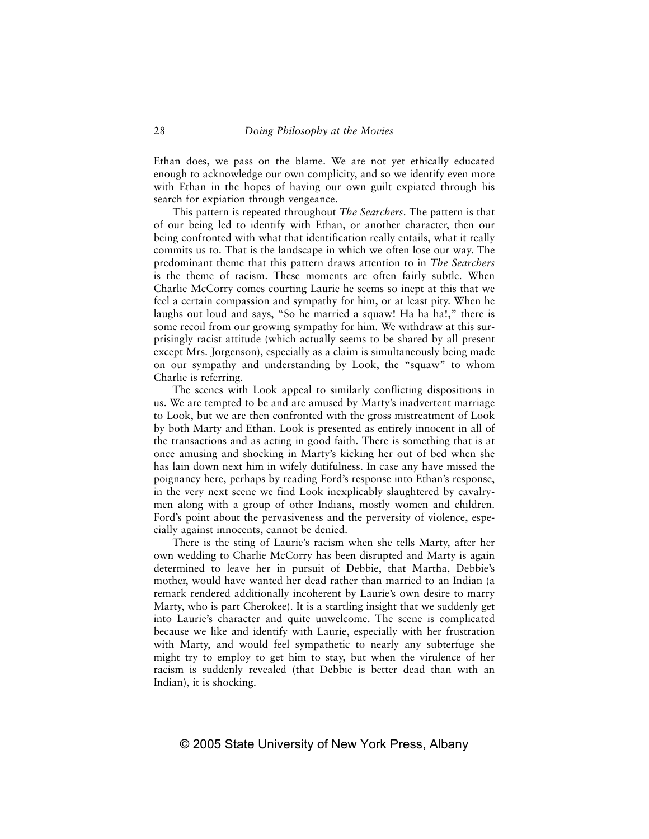Ethan does, we pass on the blame. We are not yet ethically educated enough to acknowledge our own complicity, and so we identify even more with Ethan in the hopes of having our own guilt expiated through his search for expiation through vengeance.

This pattern is repeated throughout *The Searchers*. The pattern is that of our being led to identify with Ethan, or another character, then our being confronted with what that identification really entails, what it really commits us to. That is the landscape in which we often lose our way. The predominant theme that this pattern draws attention to in *The Searchers* is the theme of racism. These moments are often fairly subtle. When Charlie McCorry comes courting Laurie he seems so inept at this that we feel a certain compassion and sympathy for him, or at least pity. When he laughs out loud and says, "So he married a squaw! Ha ha ha!," there is some recoil from our growing sympathy for him. We withdraw at this surprisingly racist attitude (which actually seems to be shared by all present except Mrs. Jorgenson), especially as a claim is simultaneously being made on our sympathy and understanding by Look, the "squaw" to whom Charlie is referring.

The scenes with Look appeal to similarly conflicting dispositions in us. We are tempted to be and are amused by Marty's inadvertent marriage to Look, but we are then confronted with the gross mistreatment of Look by both Marty and Ethan. Look is presented as entirely innocent in all of the transactions and as acting in good faith. There is something that is at once amusing and shocking in Marty's kicking her out of bed when she has lain down next him in wifely dutifulness. In case any have missed the poignancy here, perhaps by reading Ford's response into Ethan's response, in the very next scene we find Look inexplicably slaughtered by cavalrymen along with a group of other Indians, mostly women and children. Ford's point about the pervasiveness and the perversity of violence, especially against innocents, cannot be denied.

There is the sting of Laurie's racism when she tells Marty, after her own wedding to Charlie McCorry has been disrupted and Marty is again determined to leave her in pursuit of Debbie, that Martha, Debbie's mother, would have wanted her dead rather than married to an Indian (a remark rendered additionally incoherent by Laurie's own desire to marry Marty, who is part Cherokee). It is a startling insight that we suddenly get into Laurie's character and quite unwelcome. The scene is complicated because we like and identify with Laurie, especially with her frustration with Marty, and would feel sympathetic to nearly any subterfuge she might try to employ to get him to stay, but when the virulence of her racism is suddenly revealed (that Debbie is better dead than with an Indian), it is shocking.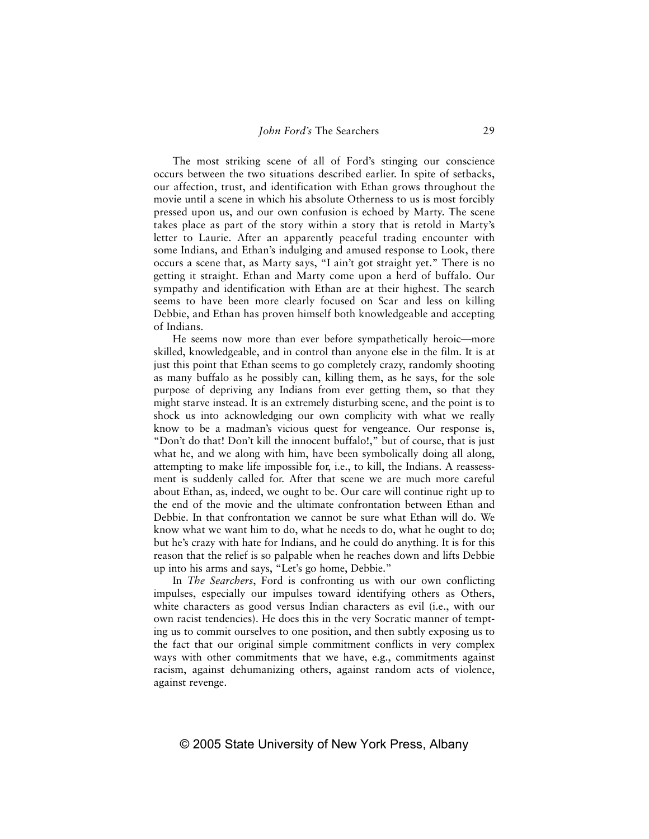The most striking scene of all of Ford's stinging our conscience occurs between the two situations described earlier. In spite of setbacks, our affection, trust, and identification with Ethan grows throughout the movie until a scene in which his absolute Otherness to us is most forcibly pressed upon us, and our own confusion is echoed by Marty. The scene takes place as part of the story within a story that is retold in Marty's letter to Laurie. After an apparently peaceful trading encounter with some Indians, and Ethan's indulging and amused response to Look, there occurs a scene that, as Marty says, "I ain't got straight yet." There is no getting it straight. Ethan and Marty come upon a herd of buffalo. Our sympathy and identification with Ethan are at their highest. The search seems to have been more clearly focused on Scar and less on killing Debbie, and Ethan has proven himself both knowledgeable and accepting of Indians.

He seems now more than ever before sympathetically heroic—more skilled, knowledgeable, and in control than anyone else in the film. It is at just this point that Ethan seems to go completely crazy, randomly shooting as many buffalo as he possibly can, killing them, as he says, for the sole purpose of depriving any Indians from ever getting them, so that they might starve instead. It is an extremely disturbing scene, and the point is to shock us into acknowledging our own complicity with what we really know to be a madman's vicious quest for vengeance. Our response is, "Don't do that! Don't kill the innocent buffalo!," but of course, that is just what he, and we along with him, have been symbolically doing all along, attempting to make life impossible for, i.e., to kill, the Indians. A reassessment is suddenly called for. After that scene we are much more careful about Ethan, as, indeed, we ought to be. Our care will continue right up to the end of the movie and the ultimate confrontation between Ethan and Debbie. In that confrontation we cannot be sure what Ethan will do. We know what we want him to do, what he needs to do, what he ought to do; but he's crazy with hate for Indians, and he could do anything. It is for this reason that the relief is so palpable when he reaches down and lifts Debbie up into his arms and says, "Let's go home, Debbie."

In *The Searchers*, Ford is confronting us with our own conflicting impulses, especially our impulses toward identifying others as Others, white characters as good versus Indian characters as evil (i.e., with our own racist tendencies). He does this in the very Socratic manner of tempting us to commit ourselves to one position, and then subtly exposing us to the fact that our original simple commitment conflicts in very complex ways with other commitments that we have, e.g., commitments against racism, against dehumanizing others, against random acts of violence, against revenge.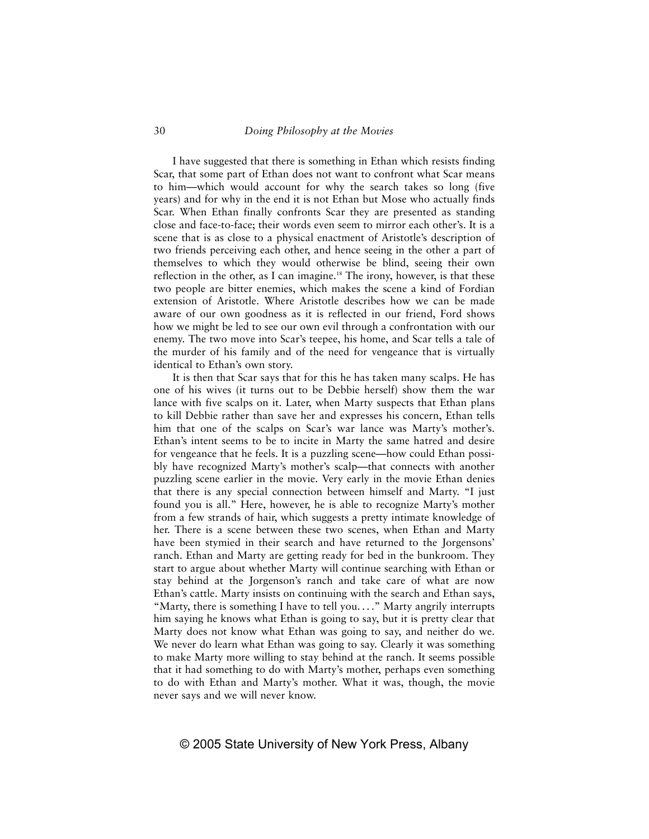I have suggested that there is something in Ethan which resists finding Scar, that some part of Ethan does not want to confront what Scar means to him—which would account for why the search takes so long (five years) and for why in the end it is not Ethan but Mose who actually finds Scar. When Ethan finally confronts Scar they are presented as standing close and face-to-face; their words even seem to mirror each other's. It is a scene that is as close to a physical enactment of Aristotle's description of two friends perceiving each other, and hence seeing in the other a part of themselves to which they would otherwise be blind, seeing their own reflection in the other, as I can imagine.<sup>18</sup> The irony, however, is that these two people are bitter enemies, which makes the scene a kind of Fordian extension of Aristotle. Where Aristotle describes how we can be made aware of our own goodness as it is reflected in our friend, Ford shows how we might be led to see our own evil through a confrontation with our enemy. The two move into Scar's teepee, his home, and Scar tells a tale of the murder of his family and of the need for vengeance that is virtually identical to Ethan's own story.

It is then that Scar says that for this he has taken many scalps. He has one of his wives (it turns out to be Debbie herself) show them the war lance with five scalps on it. Later, when Marty suspects that Ethan plans to kill Debbie rather than save her and expresses his concern, Ethan tells him that one of the scalps on Scar's war lance was Marty's mother's. Ethan's intent seems to be to incite in Marty the same hatred and desire for vengeance that he feels. It is a puzzling scene—how could Ethan possibly have recognized Marty's mother's scalp—that connects with another puzzling scene earlier in the movie. Very early in the movie Ethan denies that there is any special connection between himself and Marty. "I just found you is all." Here, however, he is able to recognize Marty's mother from a few strands of hair, which suggests a pretty intimate knowledge of her. There is a scene between these two scenes, when Ethan and Marty have been stymied in their search and have returned to the Jorgensons' ranch. Ethan and Marty are getting ready for bed in the bunkroom. They start to argue about whether Marty will continue searching with Ethan or stay behind at the Jorgenson's ranch and take care of what are now Ethan's cattle. Marty insists on continuing with the search and Ethan says, "Marty, there is something I have to tell you. . . ." Marty angrily interrupts him saying he knows what Ethan is going to say, but it is pretty clear that Marty does not know what Ethan was going to say, and neither do we. We never do learn what Ethan was going to say. Clearly it was something to make Marty more willing to stay behind at the ranch. It seems possible that it had something to do with Marty's mother, perhaps even something to do with Ethan and Marty's mother. What it was, though, the movie never says and we will never know.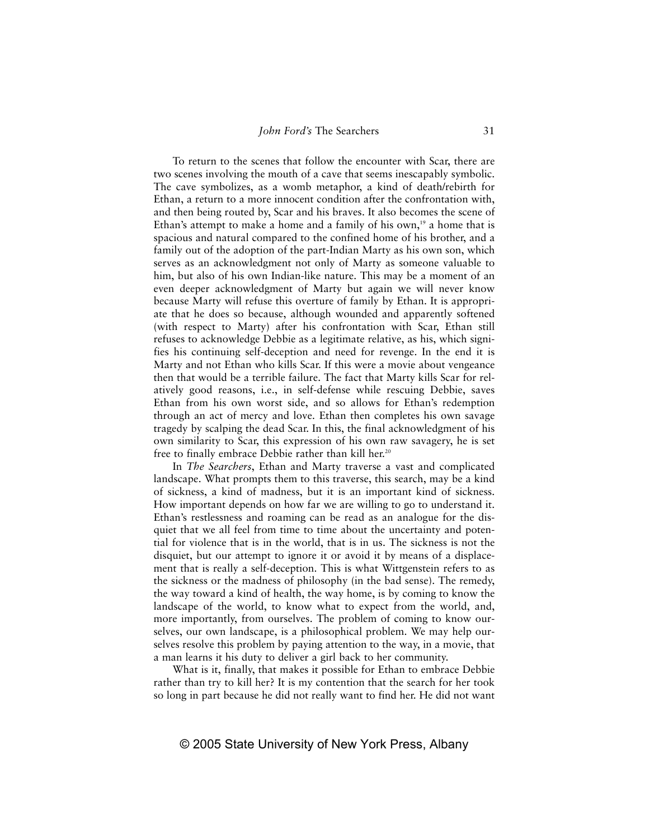To return to the scenes that follow the encounter with Scar, there are two scenes involving the mouth of a cave that seems inescapably symbolic. The cave symbolizes, as a womb metaphor, a kind of death/rebirth for Ethan, a return to a more innocent condition after the confrontation with, and then being routed by, Scar and his braves. It also becomes the scene of Ethan's attempt to make a home and a family of his own,<sup>19</sup> a home that is spacious and natural compared to the confined home of his brother, and a family out of the adoption of the part-Indian Marty as his own son, which serves as an acknowledgment not only of Marty as someone valuable to him, but also of his own Indian-like nature. This may be a moment of an even deeper acknowledgment of Marty but again we will never know because Marty will refuse this overture of family by Ethan. It is appropriate that he does so because, although wounded and apparently softened (with respect to Marty) after his confrontation with Scar, Ethan still refuses to acknowledge Debbie as a legitimate relative, as his, which signifies his continuing self-deception and need for revenge. In the end it is Marty and not Ethan who kills Scar. If this were a movie about vengeance then that would be a terrible failure. The fact that Marty kills Scar for relatively good reasons, i.e., in self-defense while rescuing Debbie, saves Ethan from his own worst side, and so allows for Ethan's redemption through an act of mercy and love. Ethan then completes his own savage tragedy by scalping the dead Scar. In this, the final acknowledgment of his own similarity to Scar, this expression of his own raw savagery, he is set free to finally embrace Debbie rather than kill her.<sup>20</sup>

In *The Searchers*, Ethan and Marty traverse a vast and complicated landscape. What prompts them to this traverse, this search, may be a kind of sickness, a kind of madness, but it is an important kind of sickness. How important depends on how far we are willing to go to understand it. Ethan's restlessness and roaming can be read as an analogue for the disquiet that we all feel from time to time about the uncertainty and potential for violence that is in the world, that is in us. The sickness is not the disquiet, but our attempt to ignore it or avoid it by means of a displacement that is really a self-deception. This is what Wittgenstein refers to as the sickness or the madness of philosophy (in the bad sense). The remedy, the way toward a kind of health, the way home, is by coming to know the landscape of the world, to know what to expect from the world, and, more importantly, from ourselves. The problem of coming to know ourselves, our own landscape, is a philosophical problem. We may help ourselves resolve this problem by paying attention to the way, in a movie, that a man learns it his duty to deliver a girl back to her community.

What is it, finally, that makes it possible for Ethan to embrace Debbie rather than try to kill her? It is my contention that the search for her took so long in part because he did not really want to find her. He did not want